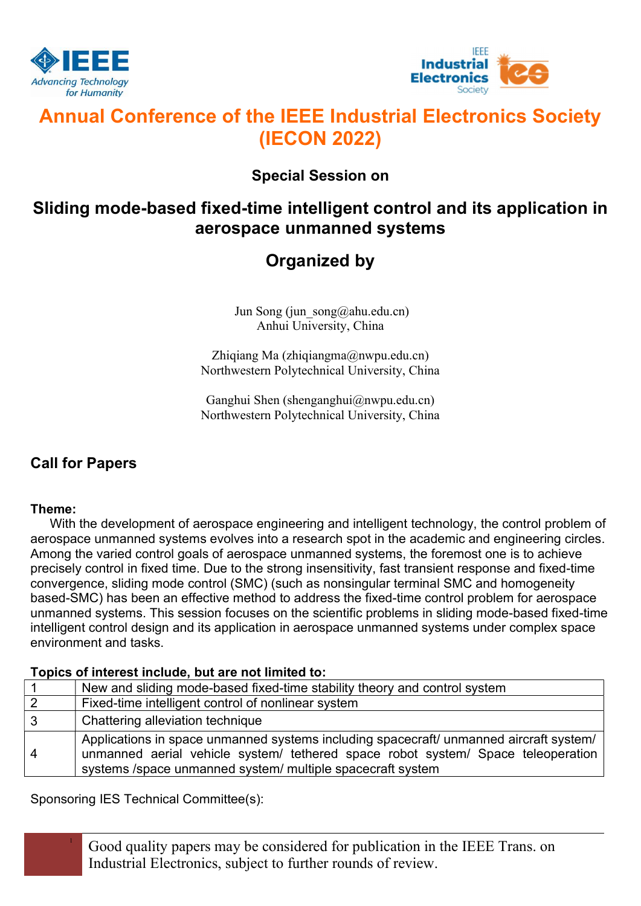



# Annual Conference of the IEEE Industrial Electronics Society (IECON 2022)

### Special Session on

## Sliding mode-based fixed-time intelligent control and its application in aerospace unmanned systems

## Organized by

Jun Song (jun song@ahu.edu.cn) Anhui University, China

Zhiqiang Ma (zhiqiangma@nwpu.edu.cn) Northwestern Polytechnical University, China

Ganghui Shen (shenganghui@nwpu.edu.cn) Northwestern Polytechnical University, China

### Call for Papers

### Theme:

With the development of aerospace engineering and intelligent technology, the control problem of aerospace unmanned systems evolves into a research spot in the academic and engineering circles. Among the varied control goals of aerospace unmanned systems, the foremost one is to achieve precisely control in fixed time. Due to the strong insensitivity, fast transient response and fixed-time convergence, sliding mode control (SMC) (such as nonsingular terminal SMC and homogeneity based-SMC) has been an effective method to address the fixed-time control problem for aerospace unmanned systems. This session focuses on the scientific problems in sliding mode-based fixed-time intelligent control design and its application in aerospace unmanned systems under complex space environment and tasks.

### Topics of interest include, but are not limited to:

|                | New and sliding mode-based fixed-time stability theory and control system                                                                                                                                                                |
|----------------|------------------------------------------------------------------------------------------------------------------------------------------------------------------------------------------------------------------------------------------|
| 2              | Fixed-time intelligent control of nonlinear system                                                                                                                                                                                       |
| $\mathbf{3}$   | Chattering alleviation technique                                                                                                                                                                                                         |
| $\overline{4}$ | Applications in space unmanned systems including spacecraft/ unmanned aircraft system/<br>unmanned aerial vehicle system/ tethered space robot system/ Space teleoperation<br>systems /space unmanned system/ multiple spacecraft system |

Sponsoring IES Technical Committee(s):

<sup>1</sup> Good quality papers may be considered for publication in the IEEE Trans. on Industrial Electronics, subject to further rounds of review.